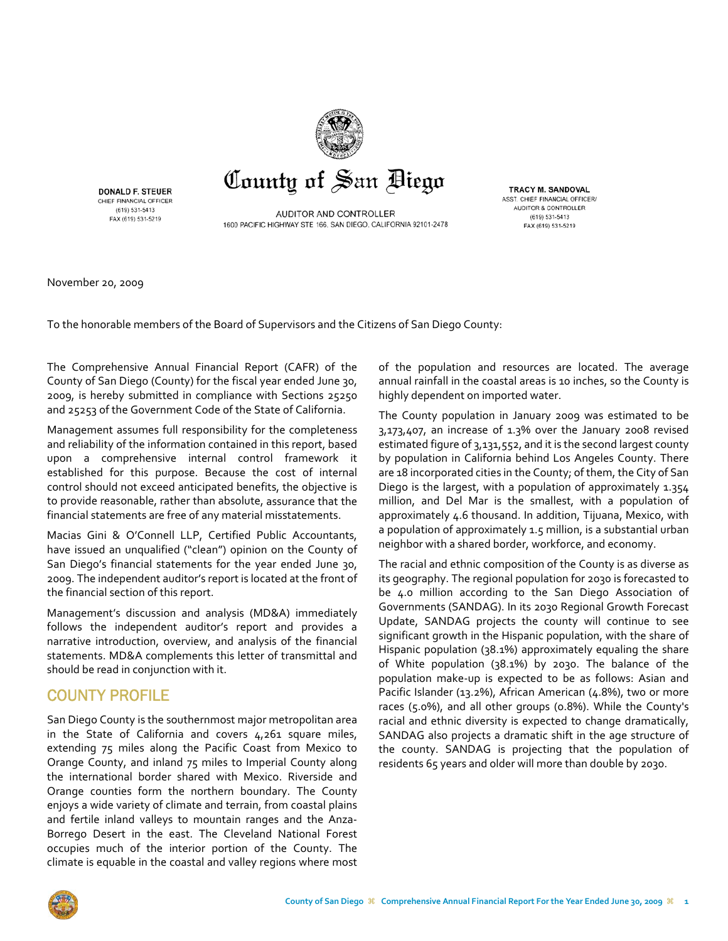

**DONALD F. STEUER** CHIEF FINANCIAL OFFICER (619) 531-5413 FAX (619) 531-5219

AUDITOR AND CONTROLLER 1600 PACIFIC HIGHWAY STE 166, SAN DIEGO, CALIFORNIA 92101-2478

**TRACY M. SANDOVAL** ASST. CHIEF FINANCIAL OFFICER/ AUDITOR & CONTROLLER (619) 531-5413 FAX (619) 531-5219

November 20, 2009

To the honorable members of the Board of Supervisors and the Citizens of San Diego County:

The Comprehensive Annual Financial Report (CAFR) of the County of San Diego (County) for the fiscal year ended June 30, 2009, is hereby submitted in compliance with Sections 25250 and 25253 of the Government Code of the State of California.

Management assumes full responsibility for the completeness and reliability of the information contained in this report, based upon a comprehensive internal control framework it established for this purpose. Because the cost of internal control should not exceed anticipated benefits, the objective is to provide reasonable, rather than absolute, assurance that the financial statements are free of any material misstatements.

Macias Gini & O'Connell LLP, Certified Public Accountants, have issued an unqualified ("clean") opinion on the County of San Diego's financial statements for the year ended June 30, 2009. The independent auditor's report is located at the front of the financial section of this report.

Management's discussion and analysis (MD&A) immediately follows the independent auditor's report and provides a narrative introduction, overview, and analysis of the financial statements. MD&A complements this letter of transmittal and should be read in conjunction with it.

### COUNTY PROFILE

San Diego County is the southernmost major metropolitan area in the State of California and covers 4,261 square miles, extending 75 miles along the Pacific Coast from Mexico to Orange County, and inland 75 miles to Imperial County along the international border shared with Mexico. Riverside and Orange counties form the northern boundary. The County enjoys a wide variety of climate and terrain, from coastal plains and fertile inland valleys to mountain ranges and the Anza-Borrego Desert in the east. The Cleveland National Forest occupies much of the interior portion of the County. The climate is equable in the coastal and valley regions where most

of the population and resources are located. The average annual rainfall in the coastal areas is 10 inches, so the County is highly dependent on imported water.

The County population in January 2009 was estimated to be  $3,173,407$ , an increase of  $1.3\%$  over the January 2008 revised estimated figure of 3,131,552, and it is the second largest county by population in California behind Los Angeles County. There are 18 incorporated cities in the County; of them, the City of San Diego is the largest, with a population of approximately 1.354 million, and Del Mar is the smallest, with a population of approximately 4.6 thousand. In addition, Tijuana, Mexico, with a population of approximately 1.5 million, is a substantial urban neighbor with a shared border, workforce, and economy.

The racial and ethnic composition of the County is as diverse as its geography. The regional population for 2030 is forecasted to be 4.0 million according to the San Diego Association of Governments (SANDAG). In its 2030 Regional Growth Forecast Update, SANDAG projects the county will continue to see significant growth in the Hispanic population, with the share of Hispanic population (38.1%) approximately equaling the share of White population (38.1%) by 2030. The balance of the population make‐up is expected to be as follows: Asian and Pacific Islander (13.2%), African American (4.8%), two or more races (5.0%), and all other groups (0.8%). While the County's racial and ethnic diversity is expected to change dramatically, SANDAG also projects a dramatic shift in the age structure of the county. SANDAG is projecting that the population of residents 65 years and older will more than double by 2030.

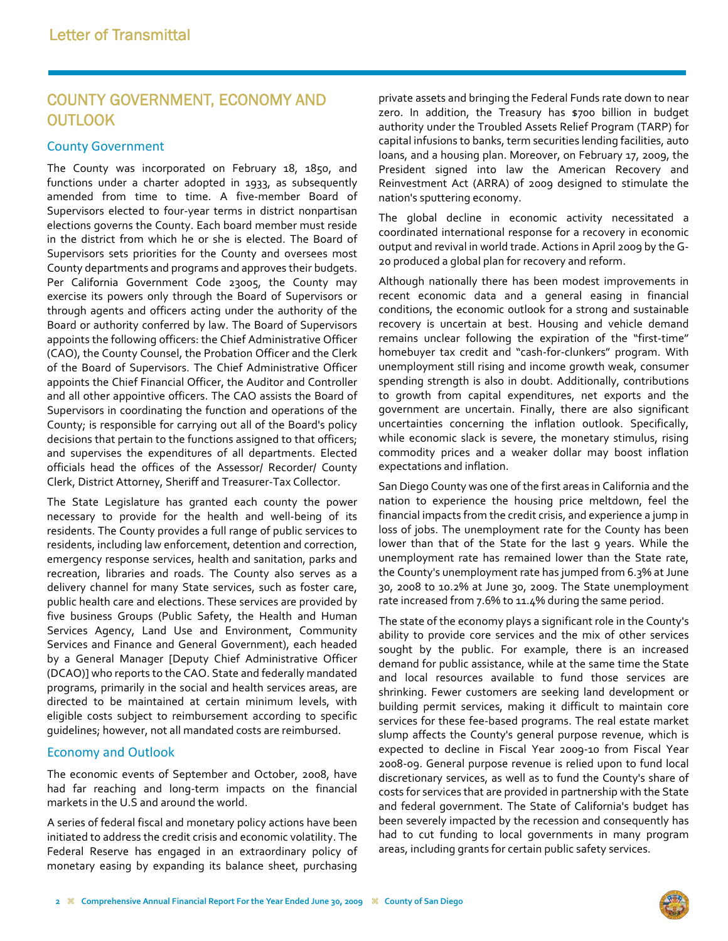## COUNTY GOVERNMENT, ECONOMY AND **OUTLOOK**

#### County Government

The County was incorporated on February 18, 1850, and functions under a charter adopted in 1933, as subsequently amended from time to time. A five-member Board of Supervisors elected to four‐year terms in district nonpartisan elections governs the County. Each board member must reside in the district from which he or she is elected. The Board of Supervisors sets priorities for the County and oversees most County departments and programs and approves their budgets. Per California Government Code 23005, the County may exercise its powers only through the Board of Supervisors or through agents and officers acting under the authority of the Board or authority conferred by law. The Board of Supervisors appoints the following officers: the Chief Administrative Officer (CAO), the County Counsel, the Probation Officer and the Clerk of the Board of Supervisors. The Chief Administrative Officer appoints the Chief Financial Officer, the Auditor and Controller and all other appointive officers. The CAO assists the Board of Supervisors in coordinating the function and operations of the County; is responsible for carrying out all of the Board's policy decisions that pertain to the functions assigned to that officers; and supervises the expenditures of all departments. Elected officials head the offices of the Assessor/ Recorder/ County Clerk, District Attorney, Sheriff and Treasurer‐Tax Collector.

The State Legislature has granted each county the power necessary to provide for the health and well‐being of its residents. The County provides a full range of public services to residents, including law enforcement, detention and correction, emergency response services, health and sanitation, parks and recreation, libraries and roads. The County also serves as a delivery channel for many State services, such as foster care, public health care and elections. These services are provided by five business Groups (Public Safety, the Health and Human Services Agency, Land Use and Environment, Community Services and Finance and General Government), each headed by a General Manager [Deputy Chief Administrative Officer (DCAO)] who reports to the CAO. State and federally mandated programs, primarily in the social and health services areas, are directed to be maintained at certain minimum levels, with eligible costs subject to reimbursement according to specific guidelines; however, not all mandated costs are reimbursed.

#### Economy and Outlook

The economic events of September and October, 2008, have had far reaching and long‐term impacts on the financial markets in the U.S and around the world.

A series of federal fiscal and monetary policy actions have been initiated to address the credit crisis and economic volatility. The Federal Reserve has engaged in an extraordinary policy of monetary easing by expanding its balance sheet, purchasing private assets and bringing the Federal Funds rate down to near zero. In addition, the Treasury has \$700 billion in budget authority under the Troubled Assets Relief Program (TARP) for capital infusions to banks, term securities lending facilities, auto loans, and a housing plan. Moreover, on February 17, 2009, the President signed into law the American Recovery and Reinvestment Act (ARRA) of 2009 designed to stimulate the nation's sputtering economy.

The global decline in economic activity necessitated a coordinated international response for a recovery in economic output and revival in world trade. Actions in April 2009 by the G‐ 20 produced a global plan for recovery and reform.

Although nationally there has been modest improvements in recent economic data and a general easing in financial conditions, the economic outlook for a strong and sustainable recovery is uncertain at best. Housing and vehicle demand remains unclear following the expiration of the "first-time" homebuyer tax credit and "cash‐for‐clunkers" program. With unemployment still rising and income growth weak, consumer spending strength is also in doubt. Additionally, contributions to growth from capital expenditures, net exports and the government are uncertain. Finally, there are also significant uncertainties concerning the inflation outlook. Specifically, while economic slack is severe, the monetary stimulus, rising commodity prices and a weaker dollar may boost inflation expectations and inflation.

San Diego County was one of the first areas in California and the nation to experience the housing price meltdown, feel the financial impacts from the credit crisis, and experience a jump in loss of jobs. The unemployment rate for the County has been lower than that of the State for the last 9 years. While the unemployment rate has remained lower than the State rate, the County's unemployment rate has jumped from 6.3% at June 30, 2008 to 10.2% at June 30, 2009. The State unemployment rate increased from 7.6% to 11.4% during the same period.

The state of the economy plays a significant role in the County's ability to provide core services and the mix of other services sought by the public. For example, there is an increased demand for public assistance, while at the same time the State and local resources available to fund those services are shrinking. Fewer customers are seeking land development or building permit services, making it difficult to maintain core services for these fee‐based programs. The real estate market slump affects the County's general purpose revenue, which is expected to decline in Fiscal Year 2009‐10 from Fiscal Year 2008‐09. General purpose revenue is relied upon to fund local discretionary services, as well as to fund the County's share of costs for services that are provided in partnership with the State and federal government. The State of California's budget has been severely impacted by the recession and consequently has had to cut funding to local governments in many program areas, including grants for certain public safety services.

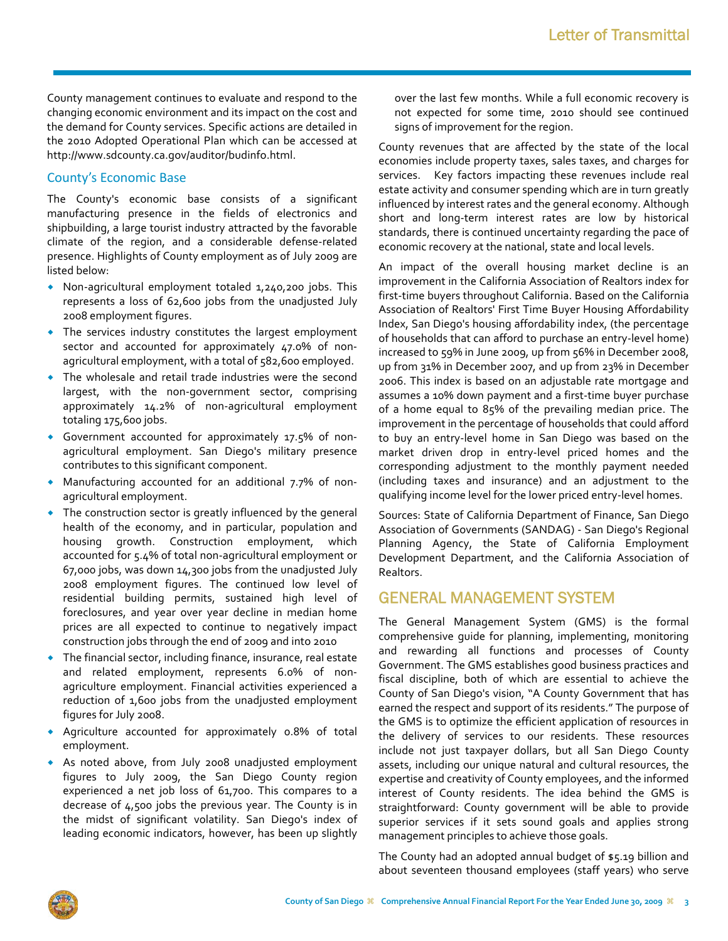County management continues to evaluate and respond to the changing economic environment and its impact on the cost and the demand for County services. Specific actions are detailed in the 2010 Adopted Operational Plan which can be accessed at http://www.sdcounty.ca.gov/auditor/budinfo.html.

#### County's Economic Base

The County's economic base consists of a significant manufacturing presence in the fields of electronics and shipbuilding, a large tourist industry attracted by the favorable climate of the region, and a considerable defense‐related presence. Highlights of County employment as of July 2009 are listed below:

- ◆ Non-agricultural employment totaled 1,240,200 jobs. This represents a loss of 62,600 jobs from the unadjusted July 2008 employment figures.
- The services industry constitutes the largest employment sector and accounted for approximately 47.0% of nonagricultural employment, with a total of 582,600 employed.
- The wholesale and retail trade industries were the second largest, with the non‐government sector, comprising approximately 14.2% of non‐agricultural employment totaling 175,600 jobs.
- ◆ Government accounted for approximately 17.5% of nonagricultural employment. San Diego's military presence contributes to this significant component.
- ◆ Manufacturing accounted for an additional 7.7% of nonagricultural employment.
- The construction sector is greatly influenced by the general health of the economy, and in particular, population and housing growth. Construction employment, which accounted for 5.4% of total non‐agricultural employment or 67,000 jobs, was down 14,300 jobs from the unadjusted July 2008 employment figures. The continued low level of residential building permits, sustained high level of foreclosures, and year over year decline in median home prices are all expected to continue to negatively impact construction jobs through the end of 2009 and into 2010
- The financial sector, including finance, insurance, real estate and related employment, represents 6.0% of non‐ agriculture employment. Financial activities experienced a reduction of 1,600 jobs from the unadjusted employment figures for July 2008.
- Agriculture accounted for approximately 0.8% of total employment.
- As noted above, from July 2008 unadjusted employment figures to July 2009, the San Diego County region experienced a net job loss of 61,700. This compares to a decrease of 4,500 jobs the previous year. The County is in the midst of significant volatility. San Diego's index of leading economic indicators, however, has been up slightly

over the last few months. While a full economic recovery is not expected for some time, 2010 should see continued signs of improvement for the region.

County revenues that are affected by the state of the local economies include property taxes, sales taxes, and charges for services. Key factors impacting these revenues include real estate activity and consumer spending which are in turn greatly influenced by interest rates and the general economy. Although short and long‐term interest rates are low by historical standards, there is continued uncertainty regarding the pace of economic recovery at the national, state and local levels.

An impact of the overall housing market decline is an improvement in the California Association of Realtors index for first-time buyers throughout California. Based on the California Association of Realtors' First Time Buyer Housing Affordability Index, San Diego's housing affordability index, (the percentage of households that can afford to purchase an entry‐level home) increased to 59% in June 2009, up from 56% in December 2008, up from 31% in December 2007, and up from 23% in December 2006. This index is based on an adjustable rate mortgage and assumes a 10% down payment and a first‐time buyer purchase of a home equal to 85% of the prevailing median price. The improvement in the percentage of households that could afford to buy an entry‐level home in San Diego was based on the market driven drop in entry‐level priced homes and the corresponding adjustment to the monthly payment needed (including taxes and insurance) and an adjustment to the qualifying income level for the lower priced entry‐level homes.

Sources: State of California Department of Finance, San Diego Association of Governments (SANDAG) ‐ San Diego's Regional Planning Agency, the State of California Employment Development Department, and the California Association of Realtors.

### GENERAL MANAGEMENT SYSTEM

The General Management System (GMS) is the formal comprehensive guide for planning, implementing, monitoring and rewarding all functions and processes of County Government. The GMS establishes good business practices and fiscal discipline, both of which are essential to achieve the County of San Diego's vision, "A County Government that has earned the respect and support of its residents." The purpose of the GMS is to optimize the efficient application of resources in the delivery of services to our residents. These resources include not just taxpayer dollars, but all San Diego County assets, including our unique natural and cultural resources, the expertise and creativity of County employees, and the informed interest of County residents. The idea behind the GMS is straightforward: County government will be able to provide superior services if it sets sound goals and applies strong management principles to achieve those goals.

The County had an adopted annual budget of \$5.19 billion and about seventeen thousand employees (staff years) who serve

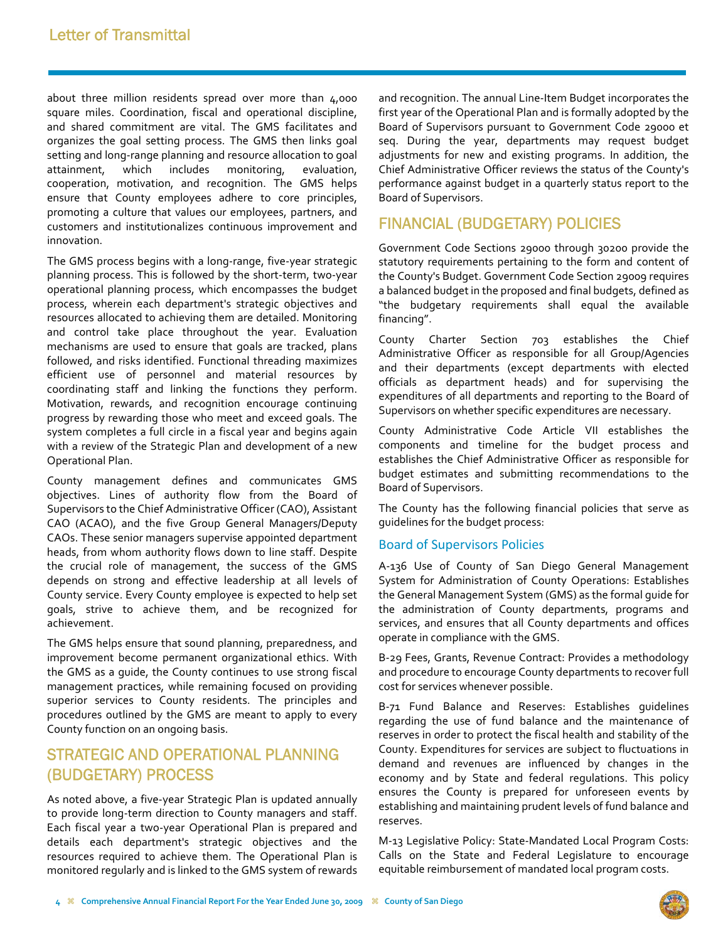about three million residents spread over more than 4,000 square miles. Coordination, fiscal and operational discipline, and shared commitment are vital. The GMS facilitates and organizes the goal setting process. The GMS then links goal setting and long‐range planning and resource allocation to goal attainment, which includes monitoring, evaluation, cooperation, motivation, and recognition. The GMS helps ensure that County employees adhere to core principles, promoting a culture that values our employees, partners, and customers and institutionalizes continuous improvement and innovation.

The GMS process begins with a long-range, five-year strategic planning process. This is followed by the short‐term, two‐year operational planning process, which encompasses the budget process, wherein each department's strategic objectives and resources allocated to achieving them are detailed. Monitoring and control take place throughout the year. Evaluation mechanisms are used to ensure that goals are tracked, plans followed, and risks identified. Functional threading maximizes efficient use of personnel and material resources by coordinating staff and linking the functions they perform. Motivation, rewards, and recognition encourage continuing progress by rewarding those who meet and exceed goals. The system completes a full circle in a fiscal year and begins again with a review of the Strategic Plan and development of a new Operational Plan.

County management defines and communicates GMS objectives. Lines of authority flow from the Board of Supervisors to the Chief Administrative Officer (CAO), Assistant CAO (ACAO), and the five Group General Managers/Deputy CAOs. These senior managers supervise appointed department heads, from whom authority flows down to line staff. Despite the crucial role of management, the success of the GMS depends on strong and effective leadership at all levels of County service. Every County employee is expected to help set goals, strive to achieve them, and be recognized for achievement.

The GMS helps ensure that sound planning, preparedness, and improvement become permanent organizational ethics. With the GMS as a guide, the County continues to use strong fiscal management practices, while remaining focused on providing superior services to County residents. The principles and procedures outlined by the GMS are meant to apply to every County function on an ongoing basis.

## STRATEGIC AND OPERATIONAL PLANNING (BUDGETARY) PROCESS

As noted above, a five‐year Strategic Plan is updated annually to provide long‐term direction to County managers and staff. Each fiscal year a two‐year Operational Plan is prepared and details each department's strategic objectives and the resources required to achieve them. The Operational Plan is monitored regularly and is linked to the GMS system of rewards and recognition. The annual Line-Item Budget incorporates the first year of the Operational Plan and is formally adopted by the Board of Supervisors pursuant to Government Code 29000 et seq. During the year, departments may request budget adjustments for new and existing programs. In addition, the Chief Administrative Officer reviews the status of the County's performance against budget in a quarterly status report to the Board of Supervisors.

### FINANCIAL (BUDGETARY) POLICIES

Government Code Sections 29000 through 30200 provide the statutory requirements pertaining to the form and content of the County's Budget. Government Code Section 29009 requires a balanced budget in the proposed and final budgets, defined as "the budgetary requirements shall equal the available financing".

County Charter Section 703 establishes the Chief Administrative Officer as responsible for all Group/Agencies and their departments (except departments with elected officials as department heads) and for supervising the expenditures of all departments and reporting to the Board of Supervisors on whether specific expenditures are necessary.

County Administrative Code Article VII establishes the components and timeline for the budget process and establishes the Chief Administrative Officer as responsible for budget estimates and submitting recommendations to the Board of Supervisors.

The County has the following financial policies that serve as guidelines for the budget process:

#### Board of Supervisors Policies

A‐136 Use of County of San Diego General Management System for Administration of County Operations: Establishes the General Management System (GMS) as the formal guide for the administration of County departments, programs and services, and ensures that all County departments and offices operate in compliance with the GMS.

B‐29 Fees, Grants, Revenue Contract: Provides a methodology and procedure to encourage County departments to recover full cost for services whenever possible.

B‐71 Fund Balance and Reserves: Establishes guidelines regarding the use of fund balance and the maintenance of reserves in order to protect the fiscal health and stability of the County. Expenditures for services are subject to fluctuations in demand and revenues are influenced by changes in the economy and by State and federal regulations. This policy ensures the County is prepared for unforeseen events by establishing and maintaining prudent levels of fund balance and reserves.

M‐13 Legislative Policy: State‐Mandated Local Program Costs: Calls on the State and Federal Legislature to encourage equitable reimbursement of mandated local program costs.

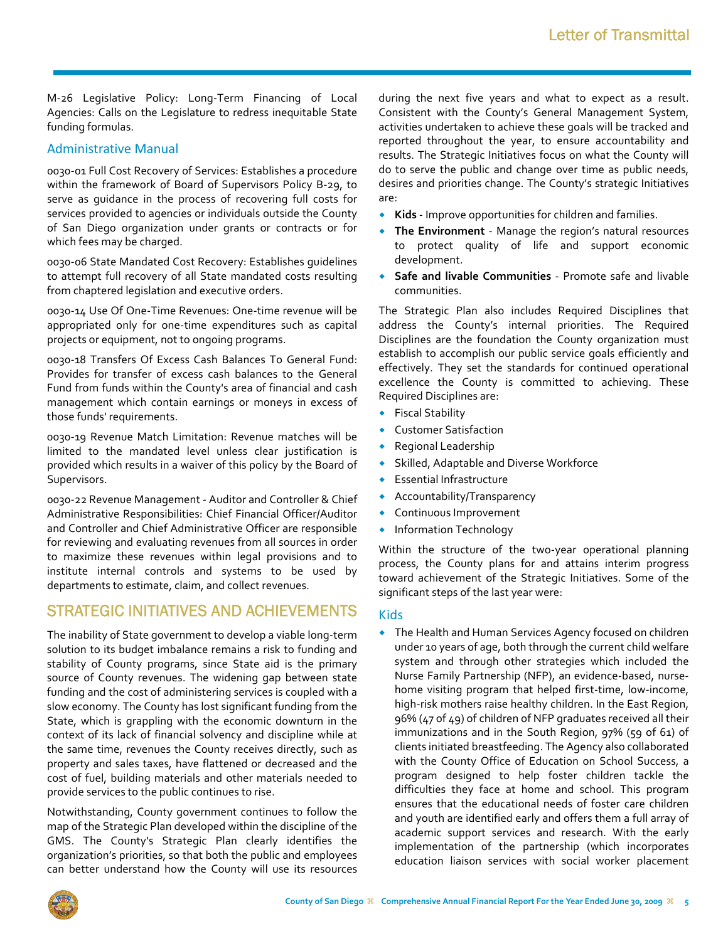M‐26 Legislative Policy: Long‐Term Financing of Local Agencies: Calls on the Legislature to redress inequitable State funding formulas.

#### Administrative Manual

0030‐01 Full Cost Recovery of Services: Establishes a procedure within the framework of Board of Supervisors Policy B‐29, to serve as guidance in the process of recovering full costs for services provided to agencies or individuals outside the County of San Diego organization under grants or contracts or for which fees may be charged.

0030‐06 State Mandated Cost Recovery: Establishes guidelines to attempt full recovery of all State mandated costs resulting from chaptered legislation and executive orders.

0030‐14 Use Of One‐Time Revenues: One‐time revenue will be appropriated only for one‐time expenditures such as capital projects or equipment, not to ongoing programs.

0030‐18 Transfers Of Excess Cash Balances To General Fund: Provides for transfer of excess cash balances to the General Fund from funds within the County's area of financial and cash management which contain earnings or moneys in excess of those funds' requirements.

0030‐19 Revenue Match Limitation: Revenue matches will be limited to the mandated level unless clear justification is provided which results in a waiver of this policy by the Board of Supervisors.

0030‐22 Revenue Management ‐ Auditor and Controller & Chief Administrative Responsibilities: Chief Financial Officer/Auditor and Controller and Chief Administrative Officer are responsible for reviewing and evaluating revenues from all sources in order to maximize these revenues within legal provisions and to institute internal controls and systems to be used by departments to estimate, claim, and collect revenues.

### STRATEGIC INITIATIVES AND ACHIEVEMENTS

The inability of State government to develop a viable long‐term solution to its budget imbalance remains a risk to funding and stability of County programs, since State aid is the primary source of County revenues. The widening gap between state funding and the cost of administering services is coupled with a slow economy. The County has lost significant funding from the State, which is grappling with the economic downturn in the context of its lack of financial solvency and discipline while at the same time, revenues the County receives directly, such as property and sales taxes, have flattened or decreased and the cost of fuel, building materials and other materials needed to provide services to the public continues to rise.

Notwithstanding, County government continues to follow the map of the Strategic Plan developed within the discipline of the GMS. The County's Strategic Plan clearly identifies the organization's priorities, so that both the public and employees can better understand how the County will use its resources during the next five years and what to expect as a result. Consistent with the County's General Management System, activities undertaken to achieve these goals will be tracked and reported throughout the year, to ensure accountability and results. The Strategic Initiatives focus on what the County will do to serve the public and change over time as public needs, desires and priorities change. The County's strategic Initiatives are:

- **Kids** ‐ Improve opportunities for children and families.
- **The Environment** ‐ Manage the region's natural resources to protect quality of life and support economic development.
- **Safe and livable Communities** ‐ Promote safe and livable communities.

The Strategic Plan also includes Required Disciplines that address the County's internal priorities. The Required Disciplines are the foundation the County organization must establish to accomplish our public service goals efficiently and effectively. They set the standards for continued operational excellence the County is committed to achieving. These Required Disciplines are:

- Fiscal Stability
- Customer Satisfaction
- Regional Leadership
- Skilled, Adaptable and Diverse Workforce
- Essential Infrastructure
- Accountability/Transparency
- Continuous Improvement
- **•** Information Technology

Within the structure of the two-year operational planning process, the County plans for and attains interim progress toward achievement of the Strategic Initiatives. Some of the significant steps of the last year were:

#### Kids

 The Health and Human Services Agency focused on children under 10 years of age, both through the current child welfare system and through other strategies which included the Nurse Family Partnership (NFP), an evidence‐based, nurse‐ home visiting program that helped first-time, low-income, high-risk mothers raise healthy children. In the East Region, 96% (47 of 49) of children of NFP graduates received all their immunizations and in the South Region, 97% (59 of 61) of clients initiated breastfeeding. The Agency also collaborated with the County Office of Education on School Success, a program designed to help foster children tackle the difficulties they face at home and school. This program ensures that the educational needs of foster care children and youth are identified early and offers them a full array of academic support services and research. With the early implementation of the partnership (which incorporates education liaison services with social worker placement

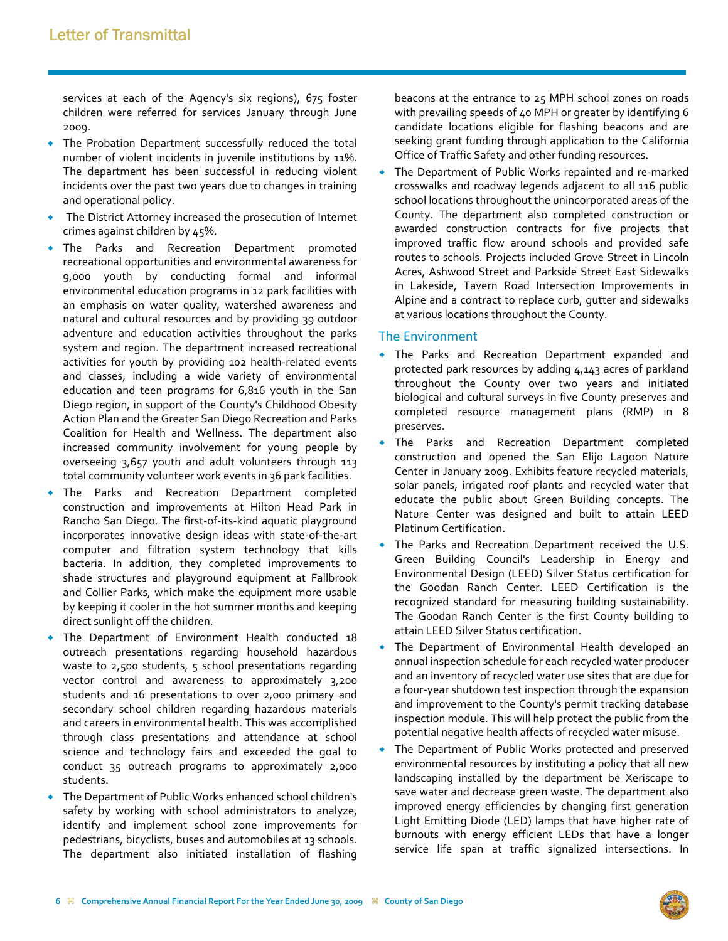services at each of the Agency's six regions), 675 foster children were referred for services January through June 2009.

- The Probation Department successfully reduced the total number of violent incidents in juvenile institutions by 11%. The department has been successful in reducing violent incidents over the past two years due to changes in training and operational policy.
- The District Attorney increased the prosecution of Internet crimes against children by 45%.
- The Parks and Recreation Department promoted recreational opportunities and environmental awareness for 9,000 youth by conducting formal and informal environmental education programs in 12 park facilities with an emphasis on water quality, watershed awareness and natural and cultural resources and by providing 39 outdoor adventure and education activities throughout the parks system and region. The department increased recreational activities for youth by providing 102 health‐related events and classes, including a wide variety of environmental education and teen programs for 6,816 youth in the San Diego region, in support of the County's Childhood Obesity Action Plan and the Greater San Diego Recreation and Parks Coalition for Health and Wellness. The department also increased community involvement for young people by overseeing 3,657 youth and adult volunteers through 113 total community volunteer work events in 36 park facilities.
- The Parks and Recreation Department completed construction and improvements at Hilton Head Park in Rancho San Diego. The first‐of‐its‐kind aquatic playground incorporates innovative design ideas with state‐of‐the‐art computer and filtration system technology that kills bacteria. In addition, they completed improvements to shade structures and playground equipment at Fallbrook and Collier Parks, which make the equipment more usable by keeping it cooler in the hot summer months and keeping direct sunlight off the children.
- The Department of Environment Health conducted 18 outreach presentations regarding household hazardous waste to 2,500 students, 5 school presentations regarding vector control and awareness to approximately 3,200 students and 16 presentations to over 2,000 primary and secondary school children regarding hazardous materials and careers in environmental health. This was accomplished through class presentations and attendance at school science and technology fairs and exceeded the goal to conduct 35 outreach programs to approximately 2,000 students.
- The Department of Public Works enhanced school children's safety by working with school administrators to analyze, identify and implement school zone improvements for pedestrians, bicyclists, buses and automobiles at 13 schools. The department also initiated installation of flashing

beacons at the entrance to 25 MPH school zones on roads with prevailing speeds of 40 MPH or greater by identifying 6 candidate locations eligible for flashing beacons and are seeking grant funding through application to the California Office of Traffic Safety and other funding resources.

 The Department of Public Works repainted and re‐marked crosswalks and roadway legends adjacent to all 116 public school locations throughout the unincorporated areas of the County. The department also completed construction or awarded construction contracts for five projects that improved traffic flow around schools and provided safe routes to schools. Projects included Grove Street in Lincoln Acres, Ashwood Street and Parkside Street East Sidewalks in Lakeside, Tavern Road Intersection Improvements in Alpine and a contract to replace curb, gutter and sidewalks at various locations throughout the County.

#### The Environment

- The Parks and Recreation Department expanded and protected park resources by adding 4,143 acres of parkland throughout the County over two years and initiated biological and cultural surveys in five County preserves and completed resource management plans (RMP) in 8 preserves.
- The Parks and Recreation Department completed construction and opened the San Elijo Lagoon Nature Center in January 2009. Exhibits feature recycled materials, solar panels, irrigated roof plants and recycled water that educate the public about Green Building concepts. The Nature Center was designed and built to attain LEED Platinum Certification.
- The Parks and Recreation Department received the U.S. Green Building Council's Leadership in Energy and Environmental Design (LEED) Silver Status certification for the Goodan Ranch Center. LEED Certification is the recognized standard for measuring building sustainability. The Goodan Ranch Center is the first County building to attain LEED Silver Status certification.
- The Department of Environmental Health developed an annual inspection schedule for each recycled water producer and an inventory of recycled water use sites that are due for a four‐year shutdown test inspection through the expansion and improvement to the County's permit tracking database inspection module. This will help protect the public from the potential negative health affects of recycled water misuse.
- The Department of Public Works protected and preserved environmental resources by instituting a policy that all new landscaping installed by the department be Xeriscape to save water and decrease green waste. The department also improved energy efficiencies by changing first generation Light Emitting Diode (LED) lamps that have higher rate of burnouts with energy efficient LEDs that have a longer service life span at traffic signalized intersections. In

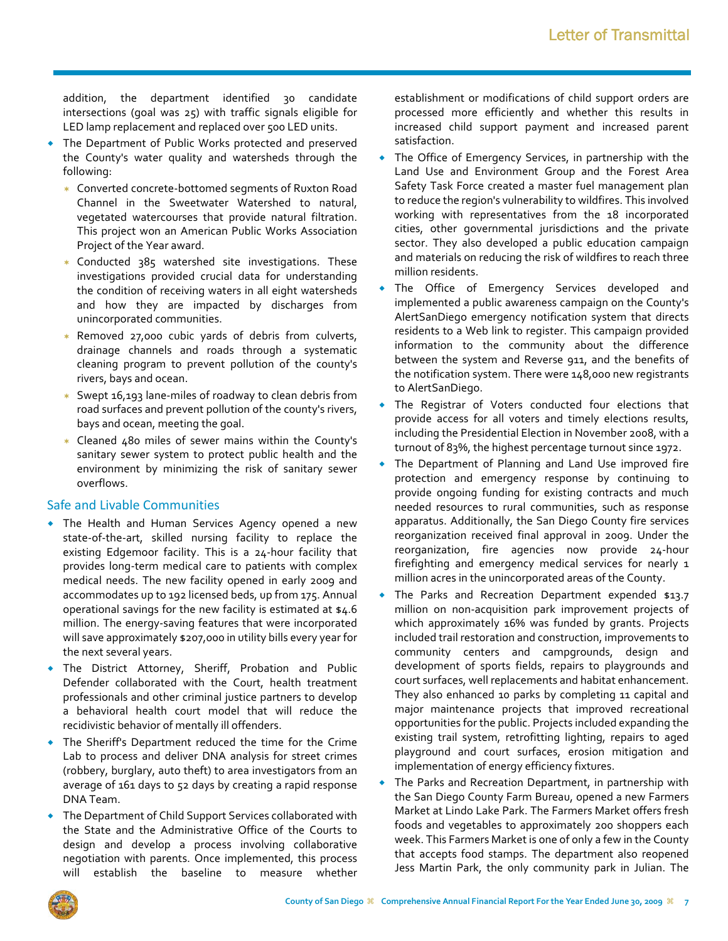addition, the department identified 30 candidate intersections (goal was 25) with traffic signals eligible for LED lamp replacement and replaced over 500 LED units.

- The Department of Public Works protected and preserved the County's water quality and watersheds through the following:
	- Converted concrete‐bottomed segments of Ruxton Road Channel in the Sweetwater Watershed to natural, vegetated watercourses that provide natural filtration. This project won an American Public Works Association Project of the Year award.
	- \* Conducted 385 watershed site investigations. These investigations provided crucial data for understanding the condition of receiving waters in all eight watersheds and how they are impacted by discharges from unincorporated communities.
	- Removed 27,000 cubic yards of debris from culverts, drainage channels and roads through a systematic cleaning program to prevent pollution of the county's rivers, bays and ocean.
	- Swept 16,193 lane‐miles of roadway to clean debris from road surfaces and prevent pollution of the county's rivers, bays and ocean, meeting the goal.
	- Cleaned 480 miles of sewer mains within the County's sanitary sewer system to protect public health and the environment by minimizing the risk of sanitary sewer overflows.

### Safe and Livable Communities

- The Health and Human Services Agency opened a new state-of-the-art, skilled nursing facility to replace the existing Edgemoor facility. This is a 24‐hour facility that provides long‐term medical care to patients with complex medical needs. The new facility opened in early 2009 and accommodates up to 192 licensed beds, up from 175. Annual operational savings for the new facility is estimated at \$4.6 million. The energy‐saving features that were incorporated will save approximately \$207,000 in utility bills every year for the next several years.
- The District Attorney, Sheriff, Probation and Public Defender collaborated with the Court, health treatment professionals and other criminal justice partners to develop a behavioral health court model that will reduce the recidivistic behavior of mentally ill offenders.
- The Sheriff's Department reduced the time for the Crime Lab to process and deliver DNA analysis for street crimes (robbery, burglary, auto theft) to area investigators from an average of 161 days to 52 days by creating a rapid response DNA Team.
- The Department of Child Support Services collaborated with the State and the Administrative Office of the Courts to design and develop a process involving collaborative negotiation with parents. Once implemented, this process will establish the baseline to measure whether

establishment or modifications of child support orders are processed more efficiently and whether this results in increased child support payment and increased parent satisfaction.

- The Office of Emergency Services, in partnership with the Land Use and Environment Group and the Forest Area Safety Task Force created a master fuel management plan to reduce the region's vulnerability to wildfires. This involved working with representatives from the 18 incorporated cities, other governmental jurisdictions and the private sector. They also developed a public education campaign and materials on reducing the risk of wildfires to reach three million residents.
- The Office of Emergency Services developed and implemented a public awareness campaign on the County's AlertSanDiego emergency notification system that directs residents to a Web link to register. This campaign provided information to the community about the difference between the system and Reverse 911, and the benefits of the notification system. There were 148,000 new registrants to AlertSanDiego.
- The Registrar of Voters conducted four elections that provide access for all voters and timely elections results, including the Presidential Election in November 2008, with a turnout of 83%, the highest percentage turnout since 1972.
- The Department of Planning and Land Use improved fire protection and emergency response by continuing to provide ongoing funding for existing contracts and much needed resources to rural communities, such as response apparatus. Additionally, the San Diego County fire services reorganization received final approval in 2009. Under the reorganization, fire agencies now provide 24‐hour firefighting and emergency medical services for nearly 1 million acres in the unincorporated areas of the County.
- The Parks and Recreation Department expended \$13.7 million on non‐acquisition park improvement projects of which approximately 16% was funded by grants. Projects included trail restoration and construction, improvements to community centers and campgrounds, design and development of sports fields, repairs to playgrounds and court surfaces, well replacements and habitat enhancement. They also enhanced 10 parks by completing 11 capital and major maintenance projects that improved recreational opportunities for the public. Projects included expanding the existing trail system, retrofitting lighting, repairs to aged playground and court surfaces, erosion mitigation and implementation of energy efficiency fixtures.
- The Parks and Recreation Department, in partnership with the San Diego County Farm Bureau, opened a new Farmers Market at Lindo Lake Park. The Farmers Market offers fresh foods and vegetables to approximately 200 shoppers each week. This Farmers Market is one of only a few in the County that accepts food stamps. The department also reopened Jess Martin Park, the only community park in Julian. The

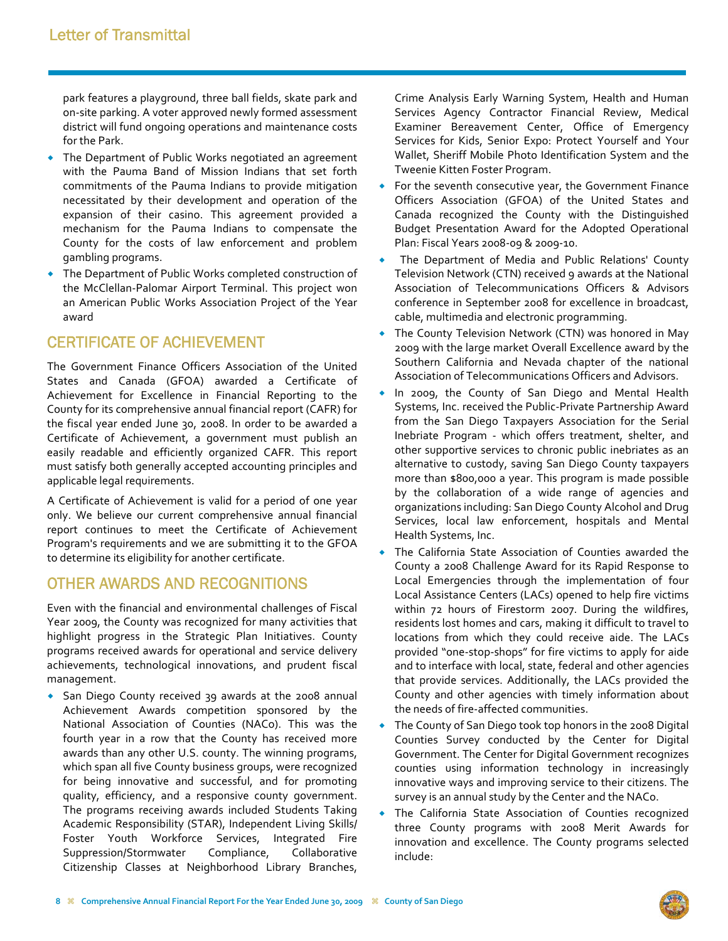park features a playground, three ball fields, skate park and on‐site parking. A voter approved newly formed assessment district will fund ongoing operations and maintenance costs for the Park.

- The Department of Public Works negotiated an agreement with the Pauma Band of Mission Indians that set forth commitments of the Pauma Indians to provide mitigation necessitated by their development and operation of the expansion of their casino. This agreement provided a mechanism for the Pauma Indians to compensate the County for the costs of law enforcement and problem gambling programs.
- The Department of Public Works completed construction of the McClellan‐Palomar Airport Terminal. This project won an American Public Works Association Project of the Year award

## CERTIFICATE OF ACHIEVEMENT

The Government Finance Officers Association of the United States and Canada (GFOA) awarded a Certificate of Achievement for Excellence in Financial Reporting to the County for its comprehensive annual financial report (CAFR) for the fiscal year ended June 30, 2008. In order to be awarded a Certificate of Achievement, a government must publish an easily readable and efficiently organized CAFR. This report must satisfy both generally accepted accounting principles and applicable legal requirements.

A Certificate of Achievement is valid for a period of one year only. We believe our current comprehensive annual financial report continues to meet the Certificate of Achievement Program's requirements and we are submitting it to the GFOA to determine its eligibility for another certificate.

### OTHER AWARDS AND RECOGNITIONS

Even with the financial and environmental challenges of Fiscal Year 2009, the County was recognized for many activities that highlight progress in the Strategic Plan Initiatives. County programs received awards for operational and service delivery achievements, technological innovations, and prudent fiscal management.

 San Diego County received 39 awards at the 2008 annual Achievement Awards competition sponsored by the National Association of Counties (NACo). This was the fourth year in a row that the County has received more awards than any other U.S. county. The winning programs, which span all five County business groups, were recognized for being innovative and successful, and for promoting quality, efficiency, and a responsive county government. The programs receiving awards included Students Taking Academic Responsibility (STAR), Independent Living Skills/ Foster Youth Workforce Services, Integrated Fire Suppression/Stormwater Compliance, Collaborative Citizenship Classes at Neighborhood Library Branches,

Crime Analysis Early Warning System, Health and Human Services Agency Contractor Financial Review, Medical Examiner Bereavement Center, Office of Emergency Services for Kids, Senior Expo: Protect Yourself and Your Wallet, Sheriff Mobile Photo Identification System and the Tweenie Kitten Foster Program.

- For the seventh consecutive year, the Government Finance Officers Association (GFOA) of the United States and Canada recognized the County with the Distinguished Budget Presentation Award for the Adopted Operational Plan: Fiscal Years 2008‐09 & 2009‐10.
- The Department of Media and Public Relations' County Television Network (CTN) received 9 awards at the National Association of Telecommunications Officers & Advisors conference in September 2008 for excellence in broadcast, cable, multimedia and electronic programming.
- The County Television Network (CTN) was honored in May 2009 with the large market Overall Excellence award by the Southern California and Nevada chapter of the national Association of Telecommunications Officers and Advisors.
- In 2009, the County of San Diego and Mental Health Systems, Inc. received the Public‐Private Partnership Award from the San Diego Taxpayers Association for the Serial Inebriate Program ‐ which offers treatment, shelter, and other supportive services to chronic public inebriates as an alternative to custody, saving San Diego County taxpayers more than \$800,000 a year. This program is made possible by the collaboration of a wide range of agencies and organizations including: San Diego County Alcohol and Drug Services, local law enforcement, hospitals and Mental Health Systems, Inc.
- The California State Association of Counties awarded the County a 2008 Challenge Award for its Rapid Response to Local Emergencies through the implementation of four Local Assistance Centers (LACs) opened to help fire victims within 72 hours of Firestorm 2007. During the wildfires, residents lost homes and cars, making it difficult to travel to locations from which they could receive aide. The LACs provided "one‐stop‐shops" for fire victims to apply for aide and to interface with local, state, federal and other agencies that provide services. Additionally, the LACs provided the County and other agencies with timely information about the needs of fire‐affected communities.
- The County of San Diego took top honors in the 2008 Digital Counties Survey conducted by the Center for Digital Government. The Center for Digital Government recognizes counties using information technology in increasingly innovative ways and improving service to their citizens. The survey is an annual study by the Center and the NACo.
- The California State Association of Counties recognized three County programs with 2008 Merit Awards for innovation and excellence. The County programs selected include:

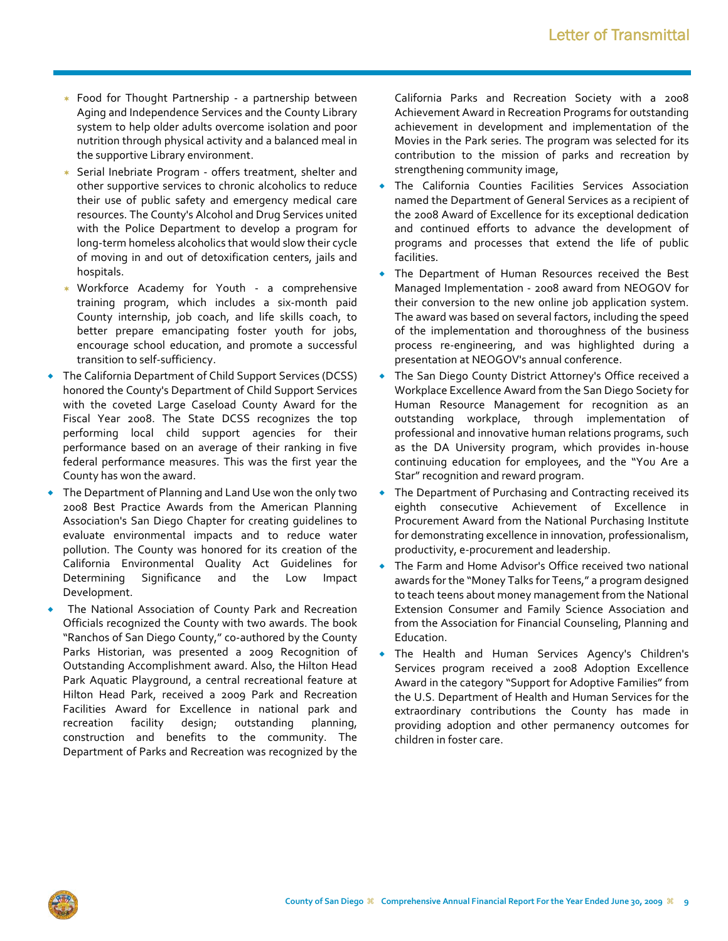- Food for Thought Partnership ‐ a partnership between Aging and Independence Services and the County Library system to help older adults overcome isolation and poor nutrition through physical activity and a balanced meal in the supportive Library environment.
- Serial Inebriate Program offers treatment, shelter and other supportive services to chronic alcoholics to reduce their use of public safety and emergency medical care resources. The County's Alcohol and Drug Services united with the Police Department to develop a program for long‐term homeless alcoholics that would slow their cycle of moving in and out of detoxification centers, jails and hospitals.
- Workforce Academy for Youth ‐ a comprehensive training program, which includes a six‐month paid County internship, job coach, and life skills coach, to better prepare emancipating foster youth for jobs, encourage school education, and promote a successful transition to self‐sufficiency.
- The California Department of Child Support Services (DCSS) honored the County's Department of Child Support Services with the coveted Large Caseload County Award for the Fiscal Year 2008. The State DCSS recognizes the top performing local child support agencies for their performance based on an average of their ranking in five federal performance measures. This was the first year the County has won the award.
- The Department of Planning and Land Use won the only two 2008 Best Practice Awards from the American Planning Association's San Diego Chapter for creating guidelines to evaluate environmental impacts and to reduce water pollution. The County was honored for its creation of the California Environmental Quality Act Guidelines for Determining Significance and the Low Impact Development.
- The National Association of County Park and Recreation Officials recognized the County with two awards. The book "Ranchos of San Diego County," co-authored by the County Parks Historian, was presented a 2009 Recognition of Outstanding Accomplishment award. Also, the Hilton Head Park Aquatic Playground, a central recreational feature at Hilton Head Park, received a 2009 Park and Recreation Facilities Award for Excellence in national park and recreation facility design; outstanding planning, construction and benefits to the community. The Department of Parks and Recreation was recognized by the

California Parks and Recreation Society with a 2008 Achievement Award in Recreation Programs for outstanding achievement in development and implementation of the Movies in the Park series. The program was selected for its contribution to the mission of parks and recreation by strengthening community image,

- The California Counties Facilities Services Association named the Department of General Services as a recipient of the 2008 Award of Excellence for its exceptional dedication and continued efforts to advance the development of programs and processes that extend the life of public facilities.
- The Department of Human Resources received the Best Managed Implementation ‐ 2008 award from NEOGOV for their conversion to the new online job application system. The award was based on several factors, including the speed of the implementation and thoroughness of the business process re‐engineering, and was highlighted during a presentation at NEOGOV's annual conference.
- The San Diego County District Attorney's Office received a Workplace Excellence Award from the San Diego Society for Human Resource Management for recognition as an outstanding workplace, through implementation of professional and innovative human relations programs, such as the DA University program, which provides in‐house continuing education for employees, and the "You Are a Star" recognition and reward program.
- The Department of Purchasing and Contracting received its eighth consecutive Achievement of Excellence in Procurement Award from the National Purchasing Institute for demonstrating excellence in innovation, professionalism, productivity, e‐procurement and leadership.
- The Farm and Home Advisor's Office received two national awards for the "Money Talks for Teens," a program designed to teach teens about money management from the National Extension Consumer and Family Science Association and from the Association for Financial Counseling, Planning and Education.
- The Health and Human Services Agency's Children's Services program received a 2008 Adoption Excellence Award in the category "Support for Adoptive Families" from the U.S. Department of Health and Human Services for the extraordinary contributions the County has made in providing adoption and other permanency outcomes for children in foster care.